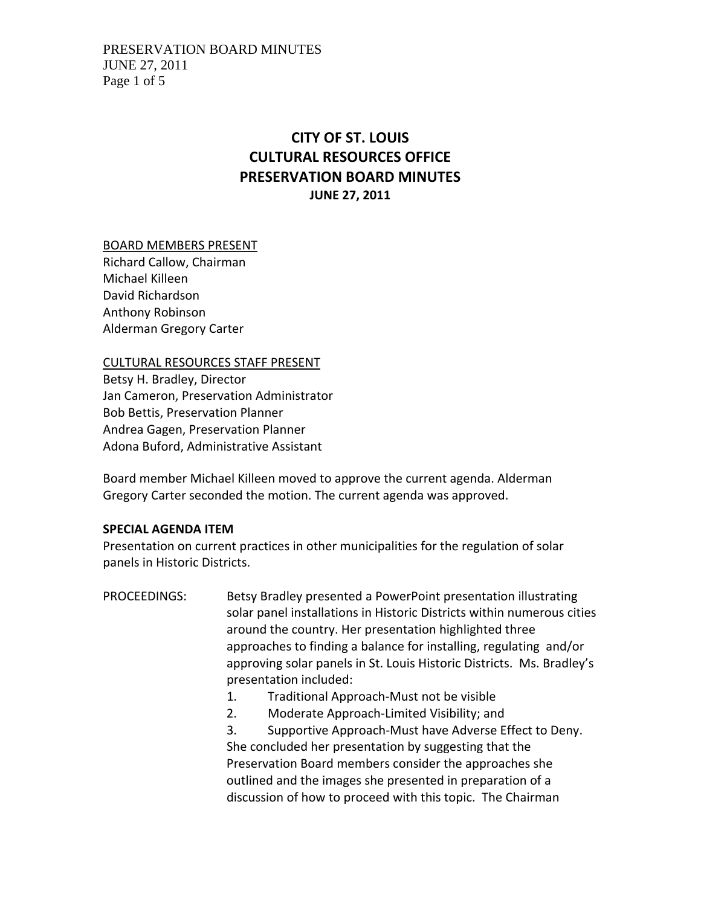# **CITY OF ST. LOUIS CULTURAL RESOURCES OFFICE PRESERVATION BOARD MINUTES JUNE 27, 2011**

BOARD MEMBERS PRESENT

Richard Callow, Chairman Michael Killeen David Richardson Anthony Robinson Alderman Gregory Carter

CULTURAL RESOURCES STAFF PRESENT

Betsy H. Bradley, Director Jan Cameron, Preservation Administrator Bob Bettis, Preservation Planner Andrea Gagen, Preservation Planner Adona Buford, Administrative Assistant

Board member Michael Killeen moved to approve the current agenda. Alderman Gregory Carter seconded the motion. The current agenda was approved.

#### **SPECIAL AGENDA ITEM**

Presentation on current practices in other municipalities for the regulation of solar panels in Historic Districts.

PROCEEDINGS: Betsy Bradley presented a PowerPoint presentation illustrating solar panel installations in Historic Districts within numerous cities around the country. Her presentation highlighted three approaches to finding a balance for installing, regulating and/or approving solar panels in St. Louis Historic Districts. Ms. Bradley's presentation included: 1. Traditional Approach‐Must not be visible 2. Moderate Approach‐Limited Visibility; and 3. Supportive Approach‐Must have Adverse Effect to Deny. She concluded her presentation by suggesting that the

Preservation Board members consider the approaches she outlined and the images she presented in preparation of a discussion of how to proceed with this topic. The Chairman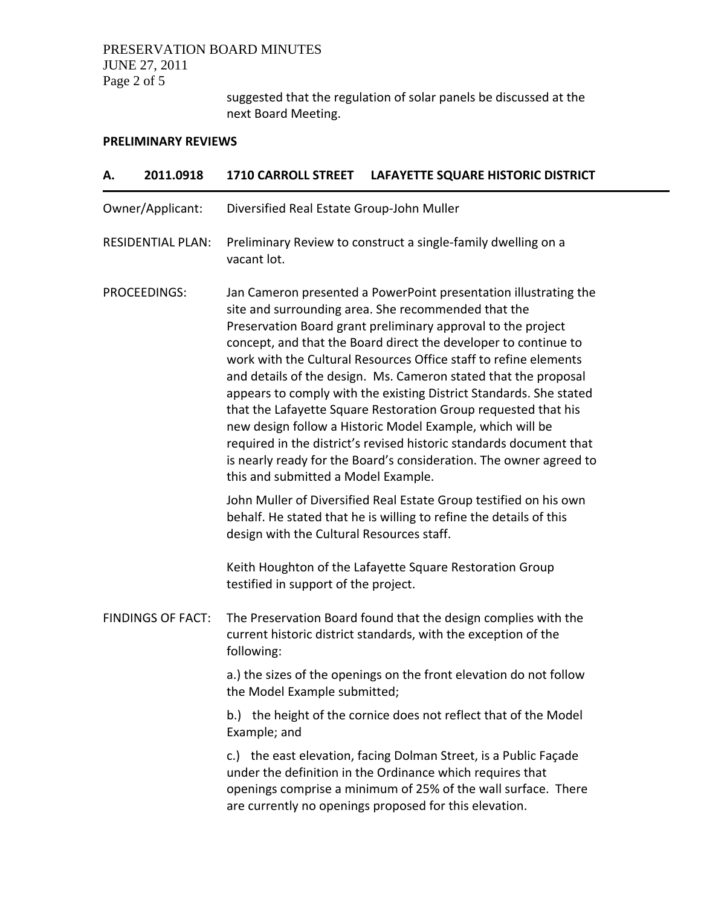# PRESERVATION BOARD MINUTES JUNE 27, 2011 Page 2 of 5

suggested that the regulation of solar panels be discussed at the next Board Meeting.

## **PRELIMINARY REVIEWS**

| А.                       | 2011.0918 | <b>1710 CARROLL STREET</b>                | LAFAYETTE SQUARE HISTORIC DISTRICT                                                                                                                                                                                                                                                                                                                                                                                                                                                                                                                                                                                                                                                                                                                  |  |
|--------------------------|-----------|-------------------------------------------|-----------------------------------------------------------------------------------------------------------------------------------------------------------------------------------------------------------------------------------------------------------------------------------------------------------------------------------------------------------------------------------------------------------------------------------------------------------------------------------------------------------------------------------------------------------------------------------------------------------------------------------------------------------------------------------------------------------------------------------------------------|--|
| Owner/Applicant:         |           | Diversified Real Estate Group-John Muller |                                                                                                                                                                                                                                                                                                                                                                                                                                                                                                                                                                                                                                                                                                                                                     |  |
| <b>RESIDENTIAL PLAN:</b> |           | vacant lot.                               | Preliminary Review to construct a single-family dwelling on a                                                                                                                                                                                                                                                                                                                                                                                                                                                                                                                                                                                                                                                                                       |  |
| PROCEEDINGS:             |           | this and submitted a Model Example.       | Jan Cameron presented a PowerPoint presentation illustrating the<br>site and surrounding area. She recommended that the<br>Preservation Board grant preliminary approval to the project<br>concept, and that the Board direct the developer to continue to<br>work with the Cultural Resources Office staff to refine elements<br>and details of the design. Ms. Cameron stated that the proposal<br>appears to comply with the existing District Standards. She stated<br>that the Lafayette Square Restoration Group requested that his<br>new design follow a Historic Model Example, which will be<br>required in the district's revised historic standards document that<br>is nearly ready for the Board's consideration. The owner agreed to |  |
|                          |           | design with the Cultural Resources staff. | John Muller of Diversified Real Estate Group testified on his own<br>behalf. He stated that he is willing to refine the details of this                                                                                                                                                                                                                                                                                                                                                                                                                                                                                                                                                                                                             |  |
|                          |           | testified in support of the project.      | Keith Houghton of the Lafayette Square Restoration Group                                                                                                                                                                                                                                                                                                                                                                                                                                                                                                                                                                                                                                                                                            |  |
| <b>FINDINGS OF FACT:</b> |           | following:                                | The Preservation Board found that the design complies with the<br>current historic district standards, with the exception of the                                                                                                                                                                                                                                                                                                                                                                                                                                                                                                                                                                                                                    |  |
|                          |           | the Model Example submitted;              | a.) the sizes of the openings on the front elevation do not follow                                                                                                                                                                                                                                                                                                                                                                                                                                                                                                                                                                                                                                                                                  |  |
|                          |           | Example; and                              | b.) the height of the cornice does not reflect that of the Model                                                                                                                                                                                                                                                                                                                                                                                                                                                                                                                                                                                                                                                                                    |  |
|                          |           |                                           | c.) the east elevation, facing Dolman Street, is a Public Façade<br>under the definition in the Ordinance which requires that<br>openings comprise a minimum of 25% of the wall surface. There<br>are currently no openings proposed for this elevation.                                                                                                                                                                                                                                                                                                                                                                                                                                                                                            |  |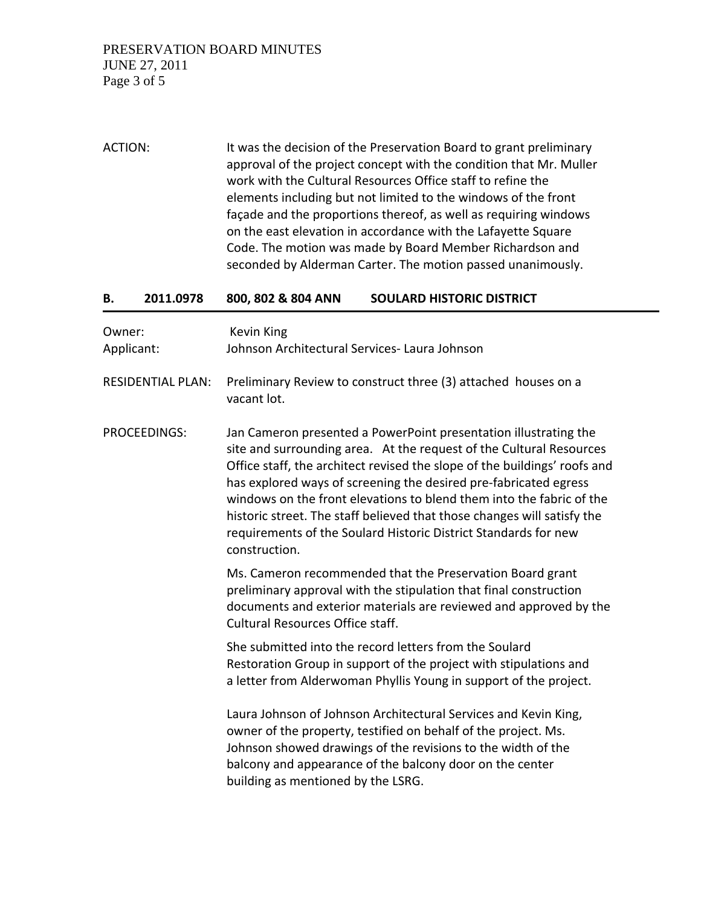ACTION: It was the decision of the Preservation Board to grant preliminary approval of the project concept with the condition that Mr. Muller work with the Cultural Resources Office staff to refine the elements including but not limited to the windows of the front façade and the proportions thereof, as well as requiring windows on the east elevation in accordance with the Lafayette Square Code. The motion was made by Board Member Richardson and seconded by Alderman Carter. The motion passed unanimously.

#### **B. 2011.0978 800, 802 & 804 ANN SOULARD HISTORIC DISTRICT**

| Owner:<br>Applicant:     | <b>Kevin King</b><br>Johnson Architectural Services- Laura Johnson                                                                                                                                                                                                                                                                                                                                                                                                                                                              |
|--------------------------|---------------------------------------------------------------------------------------------------------------------------------------------------------------------------------------------------------------------------------------------------------------------------------------------------------------------------------------------------------------------------------------------------------------------------------------------------------------------------------------------------------------------------------|
| <b>RESIDENTIAL PLAN:</b> | Preliminary Review to construct three (3) attached houses on a<br>vacant lot.                                                                                                                                                                                                                                                                                                                                                                                                                                                   |
| <b>PROCEEDINGS:</b>      | Jan Cameron presented a PowerPoint presentation illustrating the<br>site and surrounding area. At the request of the Cultural Resources<br>Office staff, the architect revised the slope of the buildings' roofs and<br>has explored ways of screening the desired pre-fabricated egress<br>windows on the front elevations to blend them into the fabric of the<br>historic street. The staff believed that those changes will satisfy the<br>requirements of the Soulard Historic District Standards for new<br>construction. |
|                          | Ms. Cameron recommended that the Preservation Board grant<br>preliminary approval with the stipulation that final construction<br>documents and exterior materials are reviewed and approved by the<br><b>Cultural Resources Office staff.</b>                                                                                                                                                                                                                                                                                  |
|                          | She submitted into the record letters from the Soulard<br>Restoration Group in support of the project with stipulations and<br>a letter from Alderwoman Phyllis Young in support of the project.                                                                                                                                                                                                                                                                                                                                |
|                          | Laura Johnson of Johnson Architectural Services and Kevin King,<br>owner of the property, testified on behalf of the project. Ms.<br>Johnson showed drawings of the revisions to the width of the<br>balcony and appearance of the balcony door on the center<br>building as mentioned by the LSRG.                                                                                                                                                                                                                             |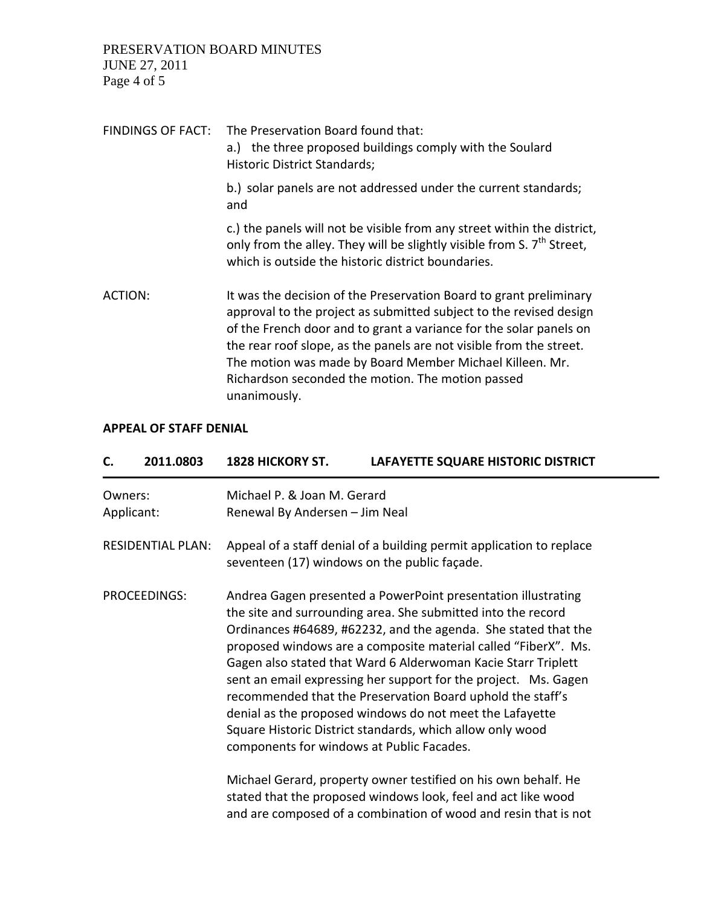PRESERVATION BOARD MINUTES JUNE 27, 2011 Page 4 of 5

| FINDINGS OF FACT: | The Preservation Board found that:<br>a.) the three proposed buildings comply with the Soulard<br>Historic District Standards;                                                                                                                                                                                                                                                                                         |
|-------------------|------------------------------------------------------------------------------------------------------------------------------------------------------------------------------------------------------------------------------------------------------------------------------------------------------------------------------------------------------------------------------------------------------------------------|
|                   | b.) solar panels are not addressed under the current standards;<br>and                                                                                                                                                                                                                                                                                                                                                 |
|                   | c.) the panels will not be visible from any street within the district,<br>only from the alley. They will be slightly visible from S. 7 <sup>th</sup> Street,<br>which is outside the historic district boundaries.                                                                                                                                                                                                    |
| ACTION:           | It was the decision of the Preservation Board to grant preliminary<br>approval to the project as submitted subject to the revised design<br>of the French door and to grant a variance for the solar panels on<br>the rear roof slope, as the panels are not visible from the street.<br>The motion was made by Board Member Michael Killeen. Mr.<br>Richardson seconded the motion. The motion passed<br>unanimously. |

#### **APPEAL OF STAFF DENIAL**

| C.                       | 2011.0803 | 1828 HICKORY ST.                                                                                                     | LAFAYETTE SQUARE HISTORIC DISTRICT                                                                                                                                                                                                                                                                                                                                                                                                                                                                                                                                                           |  |
|--------------------------|-----------|----------------------------------------------------------------------------------------------------------------------|----------------------------------------------------------------------------------------------------------------------------------------------------------------------------------------------------------------------------------------------------------------------------------------------------------------------------------------------------------------------------------------------------------------------------------------------------------------------------------------------------------------------------------------------------------------------------------------------|--|
| Owners:<br>Applicant:    |           | Michael P. & Joan M. Gerard<br>Renewal By Andersen - Jim Neal                                                        |                                                                                                                                                                                                                                                                                                                                                                                                                                                                                                                                                                                              |  |
| <b>RESIDENTIAL PLAN:</b> |           | Appeal of a staff denial of a building permit application to replace<br>seventeen (17) windows on the public façade. |                                                                                                                                                                                                                                                                                                                                                                                                                                                                                                                                                                                              |  |
| PROCEEDINGS:             |           | components for windows at Public Facades.                                                                            | Andrea Gagen presented a PowerPoint presentation illustrating<br>the site and surrounding area. She submitted into the record<br>Ordinances #64689, #62232, and the agenda. She stated that the<br>proposed windows are a composite material called "FiberX". Ms.<br>Gagen also stated that Ward 6 Alderwoman Kacie Starr Triplett<br>sent an email expressing her support for the project. Ms. Gagen<br>recommended that the Preservation Board uphold the staff's<br>denial as the proposed windows do not meet the Lafayette<br>Square Historic District standards, which allow only wood |  |
|                          |           |                                                                                                                      | Michael Gerard, property owner testified on his own behalf. He<br>stated that the proposed windows look, feel and act like wood<br>and are composed of a combination of wood and resin that is not                                                                                                                                                                                                                                                                                                                                                                                           |  |